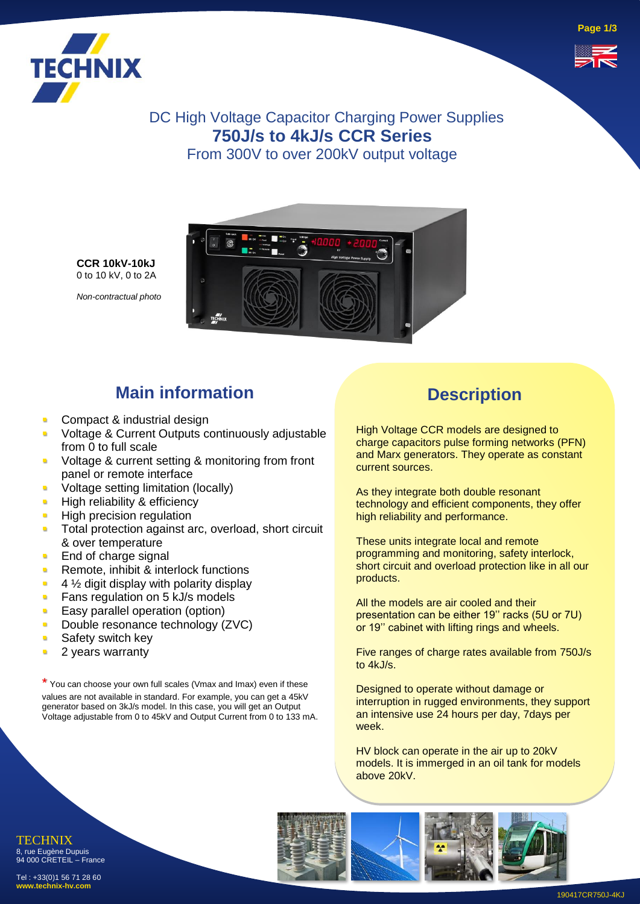



DC High Voltage Capacitor Charging Power Supplies **750J/s to 4kJ/s CCR Series**  From 300V to over 200kV output voltage



**CCR 10kV-10kJ** 0 to 10 kV, 0 to 2A

*Non-contractual photo*

# **Main information**

- Compact & industrial design
- Voltage & Current Outputs continuously adjustable from 0 to full scale
- Voltage & current setting & monitoring from front panel or remote interface
- Voltage setting limitation (locally)
- **·** High reliability & efficiency
- **E** High precision regulation
- **Total protection against arc, overload, short circuit** & over temperature
- **End of charge signal**
- **Remote, inhibit & interlock functions**
- $\blacksquare$  4  $\frac{1}{2}$  digit display with polarity display
- **EXEC** Fans regulation on 5 kJ/s models
- **Easy parallel operation (option)**
- **Double resonance technology (ZVC)**
- **Safety switch key**
- **2** years warranty

\* You can choose your own full scales (Vmax and Imax) even if these values are not available in standard. For example, you can get a 45kV generator based on 3kJ/s model. In this case, you will get an Output Voltage adjustable from 0 to 45kV and Output Current from 0 to 133 mA.

### **Description**

High Voltage CCR models are designed to charge capacitors pulse forming networks (PFN) and Marx generators. They operate as constant current sources.

As they integrate both double resonant technology and efficient components, they offer high reliability and performance.

These units integrate local and remote programming and monitoring, safety interlock, short circuit and overload protection like in all our products.

All the models are air cooled and their presentation can be either 19'' racks (5U or 7U) or 19'' cabinet with lifting rings and wheels.

Five ranges of charge rates available from 750J/s to 4kJ/s.

Designed to operate without damage or interruption in rugged environments, they support an intensive use 24 hours per day, 7days per week.

HV block can operate in the air up to 20kV models. It is immerged in an oil tank for models above 20kV.

TECHNIX 8, rue Eugène Dupuis 94 000 CRETEIL – France

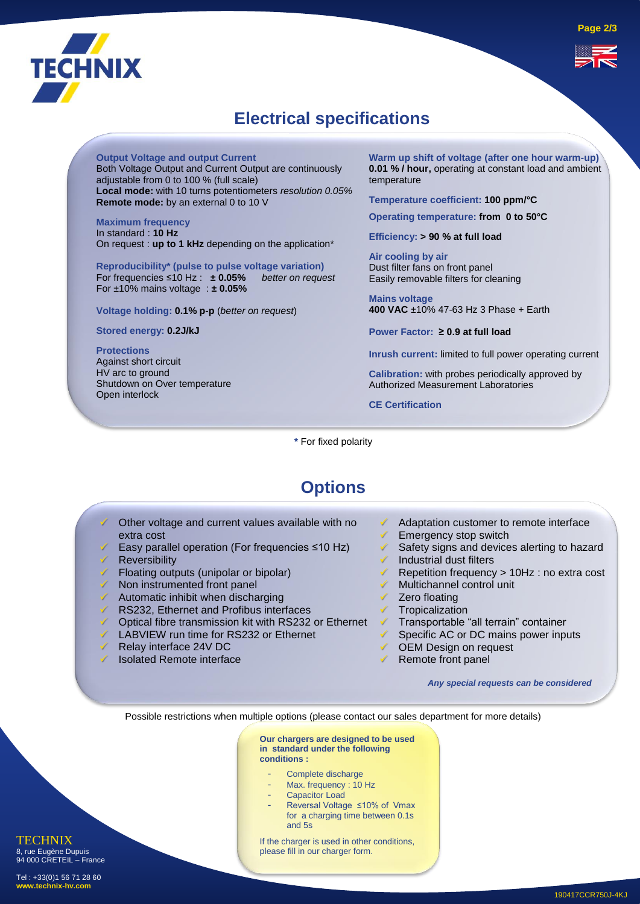

## **Electrical specifications**

**Output Voltage and output Current**

Both Voltage Output and Current Output are continuously adjustable from 0 to 100 % (full scale) **Local mode:** with 10 turns potentiometers *resolution 0.05%* **Remote mode:** by an external 0 to 10 V

**Maximum frequency**  In standard : **10 Hz** On request : **up to 1 kHz** depending on the application\*

**Reproducibility\* (pulse to pulse voltage variation)** For frequencies  $\leq 10$  Hz :  $\pm 0.05\%$ For ±10% mains voltage : **± 0.05%**

**Voltage holding: 0.1% p-p** (*better on request*)

Automatic inhibit when discharging RS232, Ethernet and Profibus interfaces

Relay interface 24V DC Isolated Remote interface

LABVIEW run time for RS232 or Ethernet

✓ Optical fibre transmission kit with RS232 or Ethernet

**Stored energy: 0.2J/kJ**

**Protections** Against short circuit HV arc to ground Shutdown on Over temperature Open interlock

**Warm up shift of voltage (after one hour warm-up) 0.01 % / hour,** operating at constant load and ambient temperature

**Temperature coefficient: 100 ppm/°C**

**Operating temperature: from 0 to 50°C**

**Efficiency: > 90 % at full load** 

**Air cooling by air**  Dust filter fans on front panel Easily removable filters for cleaning

**Mains voltage 400 VAC** ±10% 47-63 Hz 3 Phase + Earth

**Power Factor: ≥ 0.9 at full load**

**Inrush current:** limited to full power operating current

**Calibration:** with probes periodically approved by Authorized Measurement Laboratories

**CE Certification**

**\*** For fixed polarity

#### **Options**

- Other voltage and current values available with no extra cost ✓ Easy parallel operation (For frequencies ≤10 Hz) **Reversibility** Floating outputs (unipolar or bipolar) Non instrumented front panel Adaptation customer to remote interface **✓** Emergency stop switch Safety signs and devices alerting to hazard Industrial dust filters ✓ Repetition frequency > 10Hz : no extra cost Multichannel control unit
	- Zero floating
	- **Tropicalization**
	- ✓ Transportable "all terrain" container
	- Specific AC or DC mains power inputs
	- ✓ OEM Design on request
	- Remote front panel

*Any special requests can be considered*

Possible restrictions when multiple options (please contact our sales department for more details)

**Our chargers are designed to be used in standard under the following conditions :**

- Complete discharge
- Max. frequency : 10 Hz
- Capacitor Load
- Reversal Voltage ≤10% of Vmax for a charging time between 0.1s and 5s

If the charger is used in other conditions, please fill in our charger form.

8, rue Eugène Dupuis 94 000 CRETEIL – France

**TECHNIX**